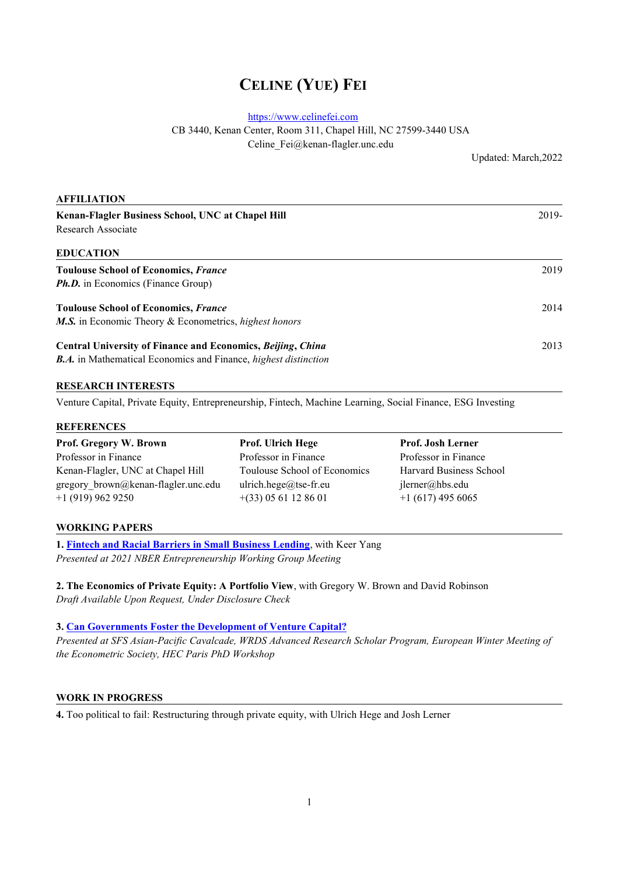# **CELINE (YUE) FEI**

<https://www.celinefei.com>

CB 3440, Kenan Center, Room 311, Chapel Hill, NC 27599-3440 USA

Celine\_Fei@kenan-flagler.unc.edu

Updated: March,2022

| <b>AFFILIATION</b>                                                     |       |  |
|------------------------------------------------------------------------|-------|--|
| Kenan-Flagler Business School, UNC at Chapel Hill                      | 2019- |  |
| Research Associate                                                     |       |  |
| <b>EDUCATION</b>                                                       |       |  |
| <b>Toulouse School of Economics, France</b>                            | 2019  |  |
| <b>Ph.D.</b> in Economics (Finance Group)                              |       |  |
| <b>Toulouse School of Economics, France</b>                            | 2014  |  |
| <b>M.S.</b> in Economic Theory & Econometrics, highest honors          |       |  |
| Central University of Finance and Economics, Beijing, China            | 2013  |  |
| <b>B.A.</b> in Mathematical Economics and Finance, highest distinction |       |  |

## **RESEARCH INTERESTS**

Venture Capital, Private Equity, Entrepreneurship, Fintech, Machine Learning, Social Finance, ESG Investing

#### **REFERENCES**

| Prof. Gregory W. Brown              | <b>Prof.</b> Ulrich Hege     | <b>Prof. Josh Lerner</b> |
|-------------------------------------|------------------------------|--------------------------|
| Professor in Finance                | Professor in Finance         | Professor in Finance     |
| Kenan-Flagler, UNC at Chapel Hill   | Toulouse School of Economics | Harvard Business School  |
| gregory brown@kenan-flagler.unc.edu | ulrich.hege@tse-fr.eu        | jlerner@hbs.edu          |
| $+1$ (919) 962 9250                 | $+(33)$ 05 61 12 86 01       | $+1(617)$ 495 6065       |

#### **WORKING PAPERS**

**1. Fintech and Racial Barriers in Small [Business](https://papers.ssrn.com/sol3/papers.cfm?abstract_id=3949148) Lending**, with Keer Yang *Presented at 2021 NBER Entrepreneurship Working Group Meeting*

2. The Economics of Private Equity: A Portfolio View, with Gregory W. Brown and David Robinson *Draft Available Upon Request, Under Disclosure Check*

**3. Can [Governments](https://papers.ssrn.com/sol3/papers.cfm?abstract_id=3221997) Foster the Development of Venture Capital?**

*Presented at SFS Asian-Pacific Cavalcade, WRDS Advanced Research Scholar Program, European Winter Meeting of the Econometric Society, HEC Paris PhD Workshop*

## **WORK IN PROGRESS**

**4.** Too political to fail: Restructuring through private equity, with Ulrich Hege and Josh Lerner